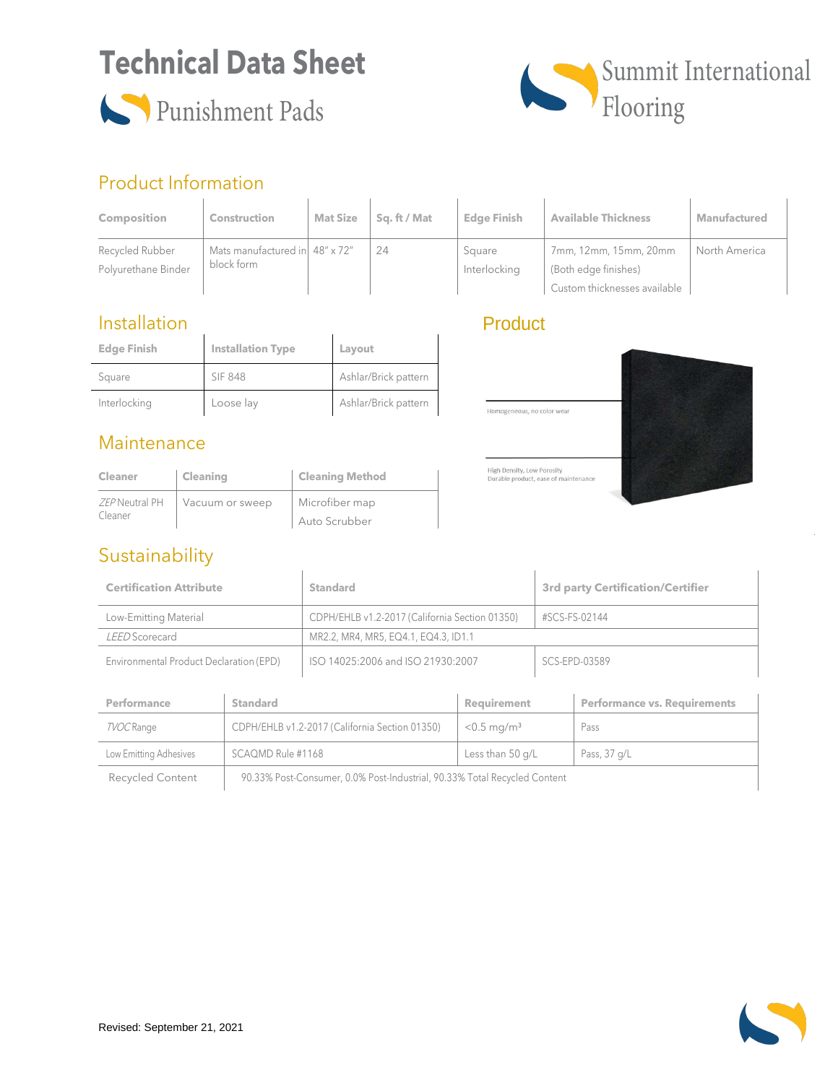# **Technical Data Sheet**





### Product Information

| <b>Composition</b>                     | <b>Construction</b>                          | <b>Mat Size</b> | Sa. ft / Mat | <b>Edge Finish</b>     | <b>Available Thickness</b>                                                    | <b>Manufactured</b> |
|----------------------------------------|----------------------------------------------|-----------------|--------------|------------------------|-------------------------------------------------------------------------------|---------------------|
| Recycled Rubber<br>Polyurethane Binder | Mats manufactured in 48" x 72"<br>block form |                 | 24           | Square<br>Interlocking | 7mm, 12mm, 15mm, 20mm<br>(Both edge finishes)<br>Custom thicknesses available | North America       |

### Installation

| <b>Edge Finish</b> | <b>Installation Type</b> | Layout               |
|--------------------|--------------------------|----------------------|
| Square             | SIF 848                  | Ashlar/Brick pattern |
| Interlocking       | Loose lay                | Ashlar/Brick pattern |

#### **Maintenance**

| Cleaner        | Cleaning        | <b>Cleaning Method</b> |
|----------------|-----------------|------------------------|
| ZEP Neutral PH | Vacuum or sweep | Microfiber map         |
| Cleaner        |                 | Auto Scrubber          |

### Sustainability

## **Product**



| <b>Certification Attribute</b>          | <b>Standard</b>                                | <b>3rd party Certification/Certifier</b> |
|-----------------------------------------|------------------------------------------------|------------------------------------------|
| Low-Emitting Material                   | CDPH/EHLB v1.2-2017 (California Section 01350) | #SCS-FS-02144                            |
| LEED Scorecard                          | MR2.2, MR4, MR5, EQ4.1, EQ4.3, ID1.1           |                                          |
| Environmental Product Declaration (EPD) | ISO 14025:2006 and ISO 21930:2007              | SCS-EPD-03589                            |

| Performance             | <b>Standard</b>                                                           | Requirement               | <b>Performance vs. Requirements</b> |
|-------------------------|---------------------------------------------------------------------------|---------------------------|-------------------------------------|
| TVOC Range              | CDPH/EHLB v1.2-2017 (California Section 01350)                            | $< 0.5$ mg/m <sup>3</sup> | Pass                                |
| Low Emitting Adhesives  | SCAQMD Rule #1168                                                         | Less than 50 g/L          | Pass, 37 g/L                        |
| <b>Recycled Content</b> | 90.33% Post-Consumer, 0.0% Post-Industrial, 90.33% Total Recycled Content |                           |                                     |